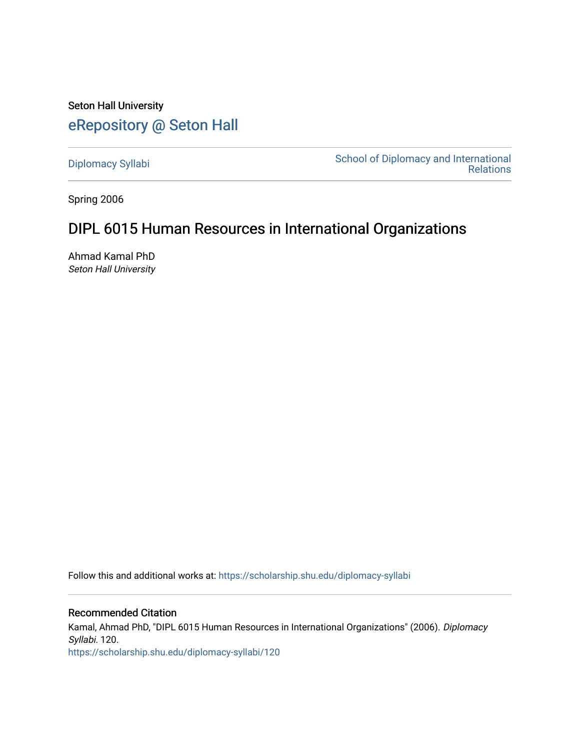Seton Hall University [eRepository @ Seton Hall](https://scholarship.shu.edu/)

[Diplomacy Syllabi](https://scholarship.shu.edu/diplomacy-syllabi) [School of Diplomacy and International](https://scholarship.shu.edu/diplomacy)  [Relations](https://scholarship.shu.edu/diplomacy) 

Spring 2006

# DIPL 6015 Human Resources in International Organizations

Ahmad Kamal PhD Seton Hall University

Follow this and additional works at: [https://scholarship.shu.edu/diplomacy-syllabi](https://scholarship.shu.edu/diplomacy-syllabi?utm_source=scholarship.shu.edu%2Fdiplomacy-syllabi%2F120&utm_medium=PDF&utm_campaign=PDFCoverPages) 

Recommended Citation Kamal, Ahmad PhD, "DIPL 6015 Human Resources in International Organizations" (2006). Diplomacy Syllabi. 120. [https://scholarship.shu.edu/diplomacy-syllabi/120](https://scholarship.shu.edu/diplomacy-syllabi/120?utm_source=scholarship.shu.edu%2Fdiplomacy-syllabi%2F120&utm_medium=PDF&utm_campaign=PDFCoverPages)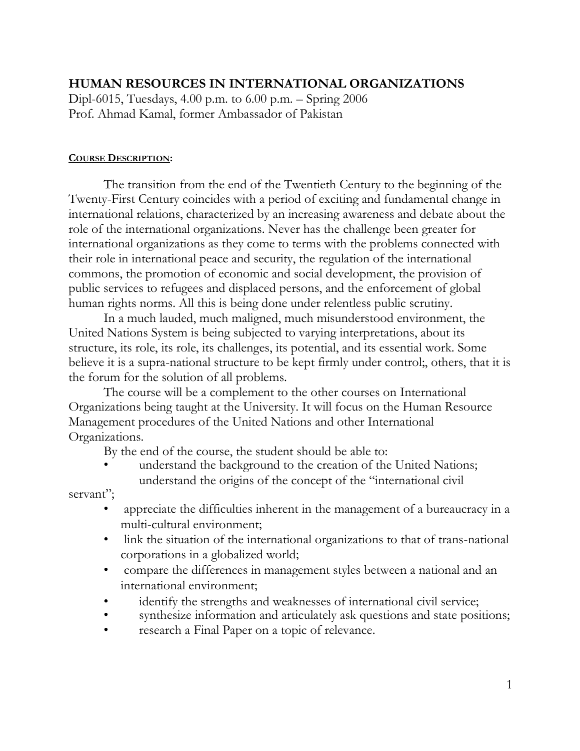# **HUMAN RESOURCES IN INTERNATIONAL ORGANIZATIONS**

Dipl-6015, Tuesdays, 4.00 p.m. to 6.00 p.m. – Spring 2006 Prof. Ahmad Kamal, former Ambassador of Pakistan

### **COURSE DESCRIPTION:**

The transition from the end of the Twentieth Century to the beginning of the Twenty-First Century coincides with a period of exciting and fundamental change in international relations, characterized by an increasing awareness and debate about the role of the international organizations. Never has the challenge been greater for international organizations as they come to terms with the problems connected with their role in international peace and security, the regulation of the international commons, the promotion of economic and social development, the provision of public services to refugees and displaced persons, and the enforcement of global human rights norms. All this is being done under relentless public scrutiny.

In a much lauded, much maligned, much misunderstood environment, the United Nations System is being subjected to varying interpretations, about its structure, its role, its role, its challenges, its potential, and its essential work. Some believe it is a supra-national structure to be kept firmly under control;, others, that it is the forum for the solution of all problems.

The course will be a complement to the other courses on International Organizations being taught at the University. It will focus on the Human Resource Management procedures of the United Nations and other International Organizations.

By the end of the course, the student should be able to:

- understand the background to the creation of the United Nations;
- understand the origins of the concept of the "international civil servant";
	- appreciate the difficulties inherent in the management of a bureaucracy in a multi-cultural environment;
	- link the situation of the international organizations to that of trans-national corporations in a globalized world;
	- compare the differences in management styles between a national and an international environment;
	- identify the strengths and weaknesses of international civil service;
	- synthesize information and articulately ask questions and state positions;
	- research a Final Paper on a topic of relevance.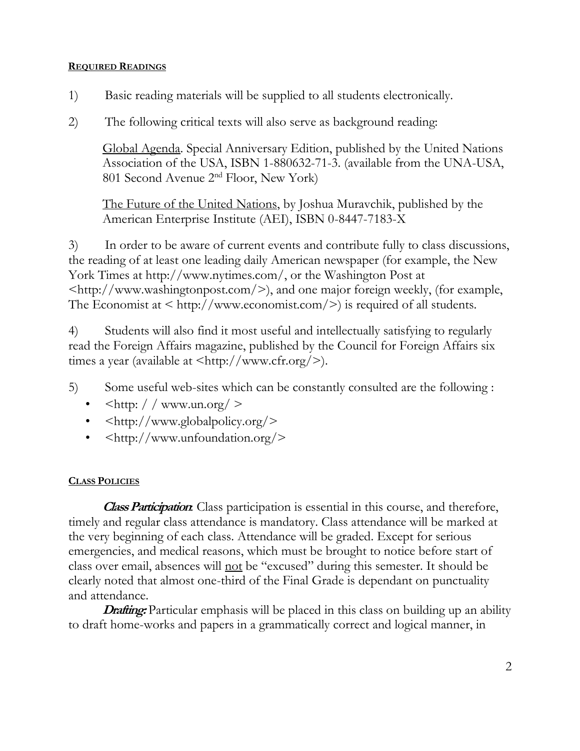### **REQUIRED READINGS**

- 1) Basic reading materials will be supplied to all students electronically.
- 2) The following critical texts will also serve as background reading:

Global Agenda. Special Anniversary Edition, published by the United Nations Association of the USA, ISBN 1-880632-71-3. (available from the UNA-USA, 801 Second Avenue 2nd Floor, New York)

The Future of the United Nations, by Joshua Muravchik, published by the American Enterprise Institute (AEI), ISBN 0-8447-7183-X

3) In order to be aware of current events and contribute fully to class discussions, the reading of at least one leading daily American newspaper (for example, the New York Times at [http://www.nytimes.com/,](http://www.nytimes.com/) or the Washington Post at  $\langle \text{http://www.washingtonpost.com/}} \rangle$ , and one major foreign weekly, (for example, The Economist at  $\langle$  http://www.economist.com/ $\rangle$  is required of all students.

4) Students will also find it most useful and intellectually satisfying to regularly read the Foreign Affairs magazine, published by the Council for Foreign Affairs six times a year (available at  $\langle \text{http://www.cfr.org/>}\rangle$ ).

5) Some useful web-sites which can be constantly consulted are the following :

- $\langle \text{http://www.un.org/>}$
- [<http://www.globalpolicy.org/>](http://www.globalpolicy.org/)
- [<http://www.unfoundation.org/>](http://www.unfoundation.org/)

# **CLASS POLICIES**

**Class Participation**: Class participation is essential in this course, and therefore, timely and regular class attendance is mandatory. Class attendance will be marked at the very beginning of each class. Attendance will be graded. Except for serious emergencies, and medical reasons, which must be brought to notice before start of class over email, absences will not be "excused" during this semester. It should be clearly noted that almost one-third of the Final Grade is dependant on punctuality and attendance.

**Drafting:** Particular emphasis will be placed in this class on building up an ability to draft home-works and papers in a grammatically correct and logical manner, in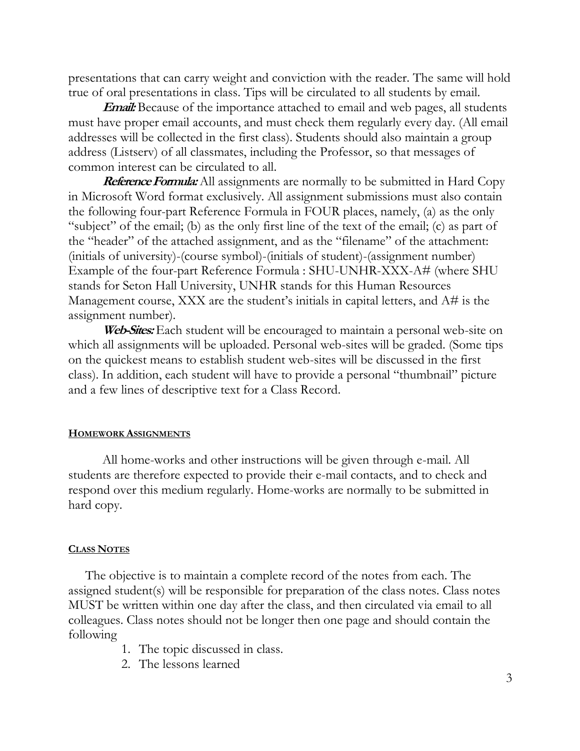presentations that can carry weight and conviction with the reader. The same will hold true of oral presentations in class. Tips will be circulated to all students by email.

**Email:** Because of the importance attached to email and web pages, all students must have proper email accounts, and must check them regularly every day. (All email addresses will be collected in the first class). Students should also maintain a group address (Listserv) of all classmates, including the Professor, so that messages of common interest can be circulated to all.

**Reference Formula:** All assignments are normally to be submitted in Hard Copy in Microsoft Word format exclusively. All assignment submissions must also contain the following four-part Reference Formula in FOUR places, namely, (a) as the only "subject" of the email; (b) as the only first line of the text of the email; (c) as part of the "header" of the attached assignment, and as the "filename" of the attachment: (initials of university)-(course symbol)-(initials of student)-(assignment number) Example of the four-part Reference Formula : SHU-UNHR-XXX-A# (where SHU stands for Seton Hall University, UNHR stands for this Human Resources Management course, XXX are the student's initials in capital letters, and A# is the assignment number).

**Web-Sites:**Each student will be encouraged to maintain a personal web-site on which all assignments will be uploaded. Personal web-sites will be graded. (Some tips on the quickest means to establish student web-sites will be discussed in the first class). In addition, each student will have to provide a personal "thumbnail" picture and a few lines of descriptive text for a Class Record.

### **HOMEWORK ASSIGNMENTS**

All home-works and other instructions will be given through e-mail. All students are therefore expected to provide their e-mail contacts, and to check and respond over this medium regularly. Home-works are normally to be submitted in hard copy.

### **CLASS NOTES**

The objective is to maintain a complete record of the notes from each. The assigned student(s) will be responsible for preparation of the class notes. Class notes MUST be written within one day after the class, and then circulated via email to all colleagues. Class notes should not be longer then one page and should contain the following

- 1. The topic discussed in class.
- 2. The lessons learned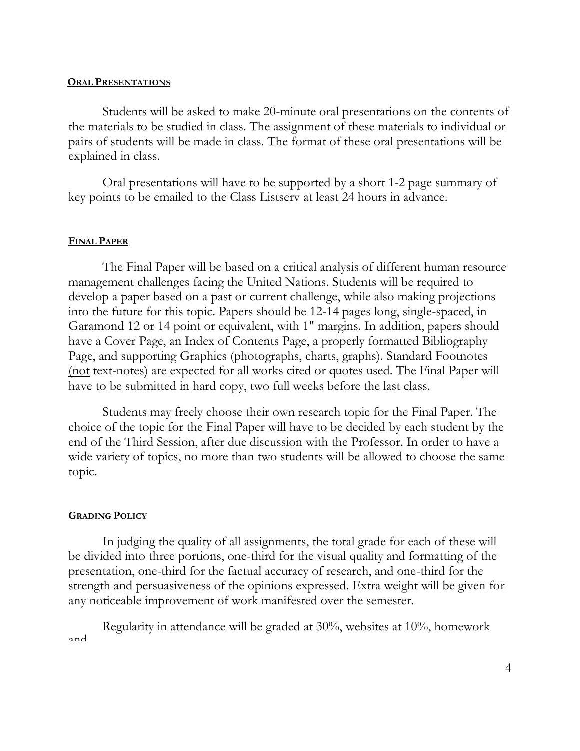#### **ORAL PRESENTATIONS**

Students will be asked to make 20-minute oral presentations on the contents of the materials to be studied in class. The assignment of these materials to individual or pairs of students will be made in class. The format of these oral presentations will be explained in class.

Oral presentations will have to be supported by a short 1-2 page summary of key points to be emailed to the Class Listserv at least 24 hours in advance.

#### **FINAL PAPER**

The Final Paper will be based on a critical analysis of different human resource management challenges facing the United Nations. Students will be required to develop a paper based on a past or current challenge, while also making projections into the future for this topic. Papers should be 12-14 pages long, single-spaced, in Garamond 12 or 14 point or equivalent, with 1" margins. In addition, papers should have a Cover Page, an Index of Contents Page, a properly formatted Bibliography Page, and supporting Graphics (photographs, charts, graphs). Standard Footnotes (not text-notes) are expected for all works cited or quotes used. The Final Paper will have to be submitted in hard copy, two full weeks before the last class.

Students may freely choose their own research topic for the Final Paper. The choice of the topic for the Final Paper will have to be decided by each student by the end of the Third Session, after due discussion with the Professor. In order to have a wide variety of topics, no more than two students will be allowed to choose the same topic.

#### **GRADING POLICY**

In judging the quality of all assignments, the total grade for each of these will be divided into three portions, one-third for the visual quality and formatting of the presentation, one-third for the factual accuracy of research, and one-third for the strength and persuasiveness of the opinions expressed. Extra weight will be given for any noticeable improvement of work manifested over the semester.

Regularity in attendance will be graded at 30%, websites at 10%, homework and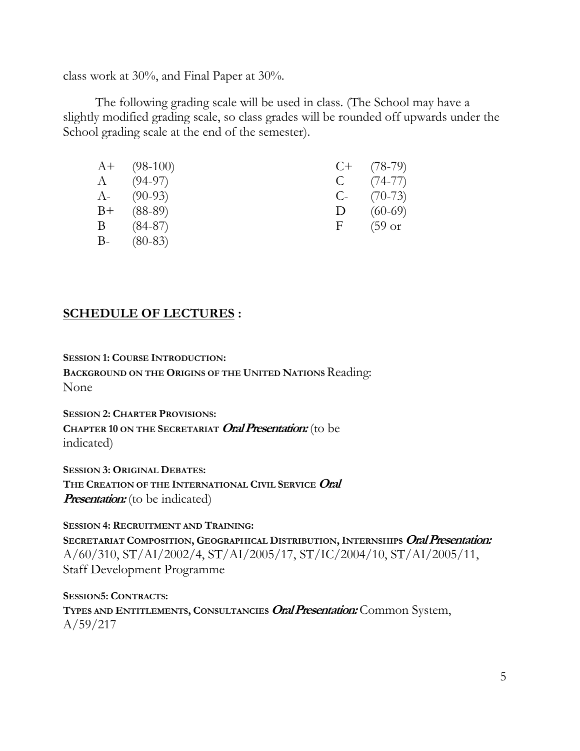class work at 30%, and Final Paper at 30%.

The following grading scale will be used in class. (The School may have a slightly modified grading scale, so class grades will be rounded off upwards under the School grading scale at the end of the semester).

| $A+$ (98-100) |              | $C+$ (78-79)      |
|---------------|--------------|-------------------|
| $A = (94-97)$ | $\mathbf{C}$ | $(74 - 77)$       |
| $A - (90-93)$ | $C$ -        | $(70-73)$         |
| $B+ (88-89)$  | $\mathbf{D}$ | $(60-69)$         |
| $B = (84-87)$ | F.           | $(59 \text{ or }$ |
| $B-$ (80-83)  |              |                   |

# **SCHEDULE OF LECTURES :**

**SESSION 1: COURSE INTRODUCTION:**

**BACKGROUND ON THE ORIGINS OF THE UNITED NATIONS** Reading: None

**SESSION 2: CHARTER PROVISIONS: CHAPTER 10 ON THE SECRETARIAT Oral Presentation:** (to be indicated)

**SESSION 3: ORIGINAL DEBATES: THE CREATION OF THE INTERNATIONAL CIVIL SERVICE Oral Presentation:** (to be indicated)

**SESSION 4: RECRUITMENT AND TRAINING:**

**SECRETARIAT COMPOSITION, GEOGRAPHICAL DISTRIBUTION, INTERNSHIPS Oral Presentation:** A/60/310, ST/AI/2002/4, ST/AI/2005/17, ST/IC/2004/10, ST/AI/2005/11, Staff Development Programme

**SESSION5: CONTRACTS: TYPES AND ENTITLEMENTS, CONSULTANCIES Oral Presentation:** Common System, A/59/217